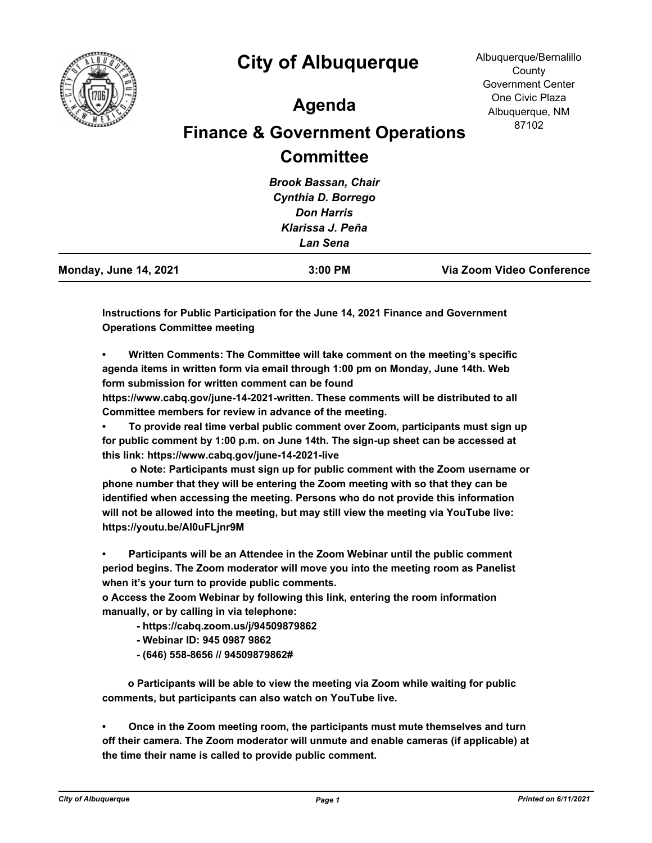

## **City of Albuquerque**

## **Agenda**

## **Finance & Government Operations Committee**

| Via Zoom Video Conference |
|---------------------------|
|                           |
|                           |
|                           |
|                           |
|                           |
|                           |

**Instructions for Public Participation for the June 14, 2021 Finance and Government Operations Committee meeting**

**• Written Comments: The Committee will take comment on the meeting's specific agenda items in written form via email through 1:00 pm on Monday, June 14th. Web form submission for written comment can be found** 

**https://www.cabq.gov/june-14-2021-written. These comments will be distributed to all Committee members for review in advance of the meeting.**

**• To provide real time verbal public comment over Zoom, participants must sign up for public comment by 1:00 p.m. on June 14th. The sign-up sheet can be accessed at this link: https://www.cabq.gov/june-14-2021-live**

 **o Note: Participants must sign up for public comment with the Zoom username or phone number that they will be entering the Zoom meeting with so that they can be identified when accessing the meeting. Persons who do not provide this information will not be allowed into the meeting, but may still view the meeting via YouTube live: https://youtu.be/Al0uFLjnr9M**

**• Participants will be an Attendee in the Zoom Webinar until the public comment period begins. The Zoom moderator will move you into the meeting room as Panelist when it's your turn to provide public comments.**

**o Access the Zoom Webinar by following this link, entering the room information manually, or by calling in via telephone:**

- **https://cabq.zoom.us/j/94509879862**
- **Webinar ID: 945 0987 9862**
- **(646) 558-8656 // 94509879862#**

 **o Participants will be able to view the meeting via Zoom while waiting for public comments, but participants can also watch on YouTube live.**

**• Once in the Zoom meeting room, the participants must mute themselves and turn off their camera. The Zoom moderator will unmute and enable cameras (if applicable) at the time their name is called to provide public comment.**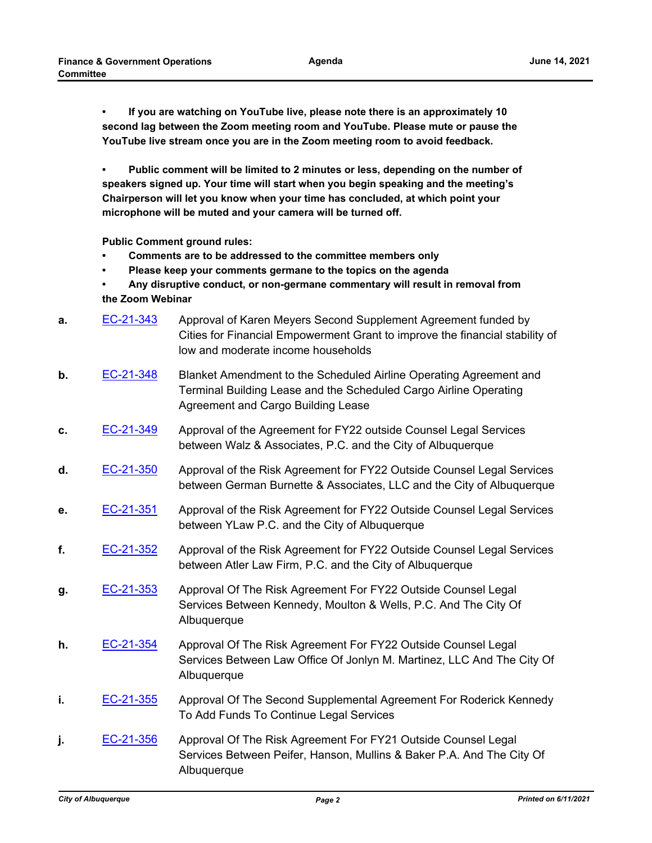**• If you are watching on YouTube live, please note there is an approximately 10 second lag between the Zoom meeting room and YouTube. Please mute or pause the YouTube live stream once you are in the Zoom meeting room to avoid feedback.**

**• Public comment will be limited to 2 minutes or less, depending on the number of speakers signed up. Your time will start when you begin speaking and the meeting's Chairperson will let you know when your time has concluded, at which point your microphone will be muted and your camera will be turned off.**

**Public Comment ground rules:**

- **Comments are to be addressed to the committee members only**
- **Please keep your comments germane to the topics on the agenda**
- **Any disruptive conduct, or non-germane commentary will result in removal from the Zoom Webinar**
- **a.** [EC-21-343](http://cabq.legistar.com/gateway.aspx?m=l&id=/matter.aspx?key=12473) Approval of Karen Meyers Second Supplement Agreement funded by Cities for Financial Empowerment Grant to improve the financial stability of low and moderate income households
- **b.** [EC-21-348](http://cabq.legistar.com/gateway.aspx?m=l&id=/matter.aspx?key=12485) Blanket Amendment to the Scheduled Airline Operating Agreement and Terminal Building Lease and the Scheduled Cargo Airline Operating Agreement and Cargo Building Lease
- **c.** [EC-21-349](http://cabq.legistar.com/gateway.aspx?m=l&id=/matter.aspx?key=12486) Approval of the Agreement for FY22 outside Counsel Legal Services between Walz & Associates, P.C. and the City of Albuquerque
- **d.** [EC-21-350](http://cabq.legistar.com/gateway.aspx?m=l&id=/matter.aspx?key=12487) Approval of the Risk Agreement for FY22 Outside Counsel Legal Services between German Burnette & Associates, LLC and the City of Albuquerque
- **e.** [EC-21-351](http://cabq.legistar.com/gateway.aspx?m=l&id=/matter.aspx?key=12488) Approval of the Risk Agreement for FY22 Outside Counsel Legal Services between YLaw P.C. and the City of Albuquerque
- **f.** [EC-21-352](http://cabq.legistar.com/gateway.aspx?m=l&id=/matter.aspx?key=12489) Approval of the Risk Agreement for FY22 Outside Counsel Legal Services between Atler Law Firm, P.C. and the City of Albuquerque
- **g.** [EC-21-353](http://cabq.legistar.com/gateway.aspx?m=l&id=/matter.aspx?key=12490) Approval Of The Risk Agreement For FY22 Outside Counsel Legal Services Between Kennedy, Moulton & Wells, P.C. And The City Of Albuquerque
- **h.** [EC-21-354](http://cabq.legistar.com/gateway.aspx?m=l&id=/matter.aspx?key=12491) Approval Of The Risk Agreement For FY22 Outside Counsel Legal Services Between Law Office Of Jonlyn M. Martinez, LLC And The City Of Albuquerque
- **i. [EC-21-355](http://cabq.legistar.com/gateway.aspx?m=l&id=/matter.aspx?key=12492)** Approval Of The Second Supplemental Agreement For Roderick Kennedy To Add Funds To Continue Legal Services
- **j.** [EC-21-356](http://cabq.legistar.com/gateway.aspx?m=l&id=/matter.aspx?key=12493) Approval Of The Risk Agreement For FY21 Outside Counsel Legal Services Between Peifer, Hanson, Mullins & Baker P.A. And The City Of Albuquerque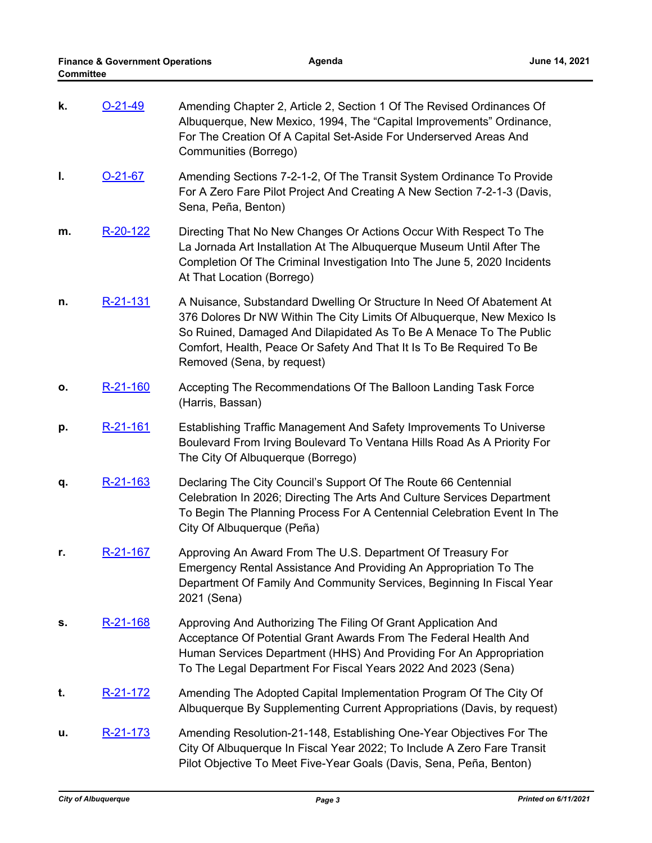| k. | $O-21-49$       | Amending Chapter 2, Article 2, Section 1 Of The Revised Ordinances Of<br>Albuquerque, New Mexico, 1994, The "Capital Improvements" Ordinance,<br>For The Creation Of A Capital Set-Aside For Underserved Areas And<br>Communities (Borrego)                                                                                 |
|----|-----------------|-----------------------------------------------------------------------------------------------------------------------------------------------------------------------------------------------------------------------------------------------------------------------------------------------------------------------------|
| I. | $O-21-67$       | Amending Sections 7-2-1-2, Of The Transit System Ordinance To Provide<br>For A Zero Fare Pilot Project And Creating A New Section 7-2-1-3 (Davis,<br>Sena, Peña, Benton)                                                                                                                                                    |
| m. | R-20-122        | Directing That No New Changes Or Actions Occur With Respect To The<br>La Jornada Art Installation At The Albuquerque Museum Until After The<br>Completion Of The Criminal Investigation Into The June 5, 2020 Incidents<br>At That Location (Borrego)                                                                       |
| n. | <u>R-21-131</u> | A Nuisance, Substandard Dwelling Or Structure In Need Of Abatement At<br>376 Dolores Dr NW Within The City Limits Of Albuquerque, New Mexico Is<br>So Ruined, Damaged And Dilapidated As To Be A Menace To The Public<br>Comfort, Health, Peace Or Safety And That It Is To Be Required To Be<br>Removed (Sena, by request) |
| о. | R-21-160        | Accepting The Recommendations Of The Balloon Landing Task Force<br>(Harris, Bassan)                                                                                                                                                                                                                                         |
| р. | <u>R-21-161</u> | Establishing Traffic Management And Safety Improvements To Universe<br>Boulevard From Irving Boulevard To Ventana Hills Road As A Priority For<br>The City Of Albuquerque (Borrego)                                                                                                                                         |
| q. | <u>R-21-163</u> | Declaring The City Council's Support Of The Route 66 Centennial<br>Celebration In 2026; Directing The Arts And Culture Services Department<br>To Begin The Planning Process For A Centennial Celebration Event In The<br>City Of Albuquerque (Peña)                                                                         |
| r. | R-21-167        | Approving An Award From The U.S. Department Of Treasury For<br>Emergency Rental Assistance And Providing An Appropriation To The<br>Department Of Family And Community Services, Beginning In Fiscal Year<br>2021 (Sena)                                                                                                    |
| s. | R-21-168        | Approving And Authorizing The Filing Of Grant Application And<br>Acceptance Of Potential Grant Awards From The Federal Health And<br>Human Services Department (HHS) And Providing For An Appropriation<br>To The Legal Department For Fiscal Years 2022 And 2023 (Sena)                                                    |
| t. | R-21-172        | Amending The Adopted Capital Implementation Program Of The City Of<br>Albuquerque By Supplementing Current Appropriations (Davis, by request)                                                                                                                                                                               |
| u. | <u>R-21-173</u> | Amending Resolution-21-148, Establishing One-Year Objectives For The<br>City Of Albuquerque In Fiscal Year 2022; To Include A Zero Fare Transit<br>Pilot Objective To Meet Five-Year Goals (Davis, Sena, Peña, Benton)                                                                                                      |